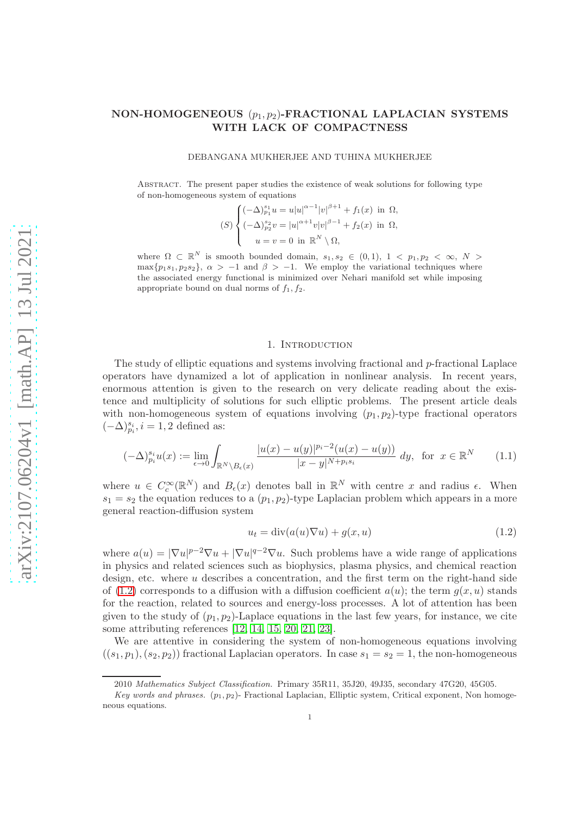# NON-HOMOGENEOUS  $(p_1, p_2)$ -FRACTIONAL LAPLACIAN SYSTEMS WITH LACK OF COMPACTNESS

### DEBANGANA MUKHERJEE AND TUHINA MUKHERJEE

Abstract. The present paper studies the existence of weak solutions for following type of non-homogeneous system of equations

$$
(S) \begin{cases} (-\Delta)^{s_1}_{p_1} u = u |u|^{\alpha - 1} |v|^{\beta + 1} + f_1(x) & \text{in } \Omega, \\ (-\Delta)^{s_2}_{p_2} v = |u|^{\alpha + 1} v |v|^{\beta - 1} + f_2(x) & \text{in } \Omega, \\ u = v = 0 & \text{in } \mathbb{R}^N \setminus \Omega, \end{cases}
$$

where  $\Omega \subset \mathbb{R}^N$  is smooth bounded domain,  $s_1, s_2 \in (0,1)$ ,  $1 \lt p_1, p_2 \lt \infty$ ,  $N >$  $\max\{p_1s_1, p_2s_2\}, \ \alpha > -1$  and  $\beta > -1$ . We employ the variational techniques where the associated energy functional is minimized over Nehari manifold set while imposing appropriate bound on dual norms of  $f_1, f_2$ .

## 1. INTRODUCTION

The study of elliptic equations and systems involving fractional and p-fractional Laplace operators have dynamized a lot of application in nonlinear analysis. In recent years, enormous attention is given to the research on very delicate reading about the existence and multiplicity of solutions for such elliptic problems. The present article deals with non-homogeneous system of equations involving  $(p_1, p_2)$ -type fractional operators  $(-\Delta)^{s_i}_{p_i}, i=1,2$  defined as:

$$
(-\Delta)^{s_i}_{p_i} u(x) := \lim_{\epsilon \to 0} \int_{\mathbb{R}^N \setminus B_{\epsilon}(x)} \frac{|u(x) - u(y)|^{p_i - 2} (u(x) - u(y))}{|x - y|^{N + p_i s_i}} dy, \text{ for } x \in \mathbb{R}^N \tag{1.1}
$$

where  $u \in C_c^{\infty}(\mathbb{R}^N)$  and  $B_{\epsilon}(x)$  denotes ball in  $\mathbb{R}^N$  with centre x and radius  $\epsilon$ . When  $s_1 = s_2$  the equation reduces to a  $(p_1, p_2)$ -type Laplacian problem which appears in a more general reaction-diffusion system

<span id="page-0-0"></span>
$$
u_t = \operatorname{div}(a(u)\nabla u) + g(x, u) \tag{1.2}
$$

where  $a(u) = |\nabla u|^{p-2} \nabla u + |\nabla u|^{q-2} \nabla u$ . Such problems have a wide range of applications in physics and related sciences such as biophysics, plasma physics, and chemical reaction design, etc. where  $u$  describes a concentration, and the first term on the right-hand side of [\(1.2\)](#page-0-0) corresponds to a diffusion with a diffusion coefficient  $a(u)$ ; the term  $q(x, u)$  stands for the reaction, related to sources and energy-loss processes. A lot of attention has been given to the study of  $(p_1, p_2)$ -Laplace equations in the last few years, for instance, we cite some attributing references [\[12,](#page-15-0) [14,](#page-15-1) [15,](#page-15-2) [20,](#page-15-3) [21,](#page-15-4) [23\]](#page-15-5).

We are attentive in considering the system of non-homogeneous equations involving  $((s_1, p_1), (s_2, p_2))$  fractional Laplacian operators. In case  $s_1 = s_2 = 1$ , the non-homogeneous

<sup>2010</sup> Mathematics Subject Classification. Primary 35R11, 35J20, 49J35, secondary 47G20, 45G05.

Key words and phrases.  $(p_1, p_2)$ - Fractional Laplacian, Elliptic system, Critical exponent, Non homogeneous equations.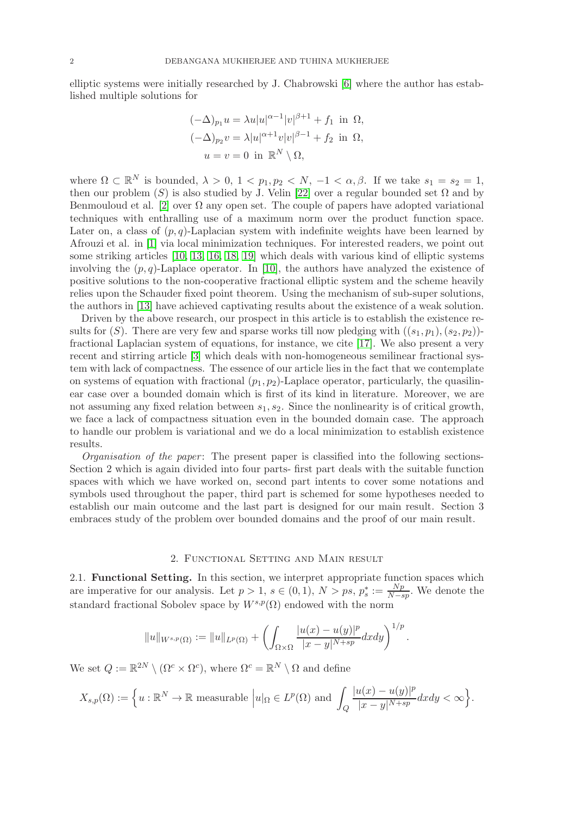elliptic systems were initially researched by J. Chabrowski [\[6\]](#page-15-6) where the author has established multiple solutions for

$$
(-\Delta)_{p_1} u = \lambda u |u|^{\alpha - 1} |v|^{\beta + 1} + f_1 \text{ in } \Omega,
$$
  

$$
(-\Delta)_{p_2} v = \lambda |u|^{\alpha + 1} v |v|^{\beta - 1} + f_2 \text{ in } \Omega,
$$
  

$$
u = v = 0 \text{ in } \mathbb{R}^N \setminus \Omega,
$$

where  $\Omega \subset \mathbb{R}^N$  is bounded,  $\lambda > 0$ ,  $1 < p_1, p_2 < N$ ,  $-1 < \alpha, \beta$ . If we take  $s_1 = s_2 = 1$ , then our problem (S) is also studied by J. Velin [\[22\]](#page-15-7) over a regular bounded set  $\Omega$  and by Benmouloud et al. [\[2\]](#page-14-0) over  $\Omega$  any open set. The couple of papers have adopted variational techniques with enthralling use of a maximum norm over the product function space. Later on, a class of  $(p, q)$ -Laplacian system with indefinite weights have been learned by Afrouzi et al. in [\[1\]](#page-14-1) via local minimization techniques. For interested readers, we point out some striking articles [\[10,](#page-15-8) [13,](#page-15-9) [16,](#page-15-10) [18,](#page-15-11) [19\]](#page-15-12) which deals with various kind of elliptic systems involving the  $(p, q)$ -Laplace operator. In [\[10\]](#page-15-8), the authors have analyzed the existence of positive solutions to the non-cooperative fractional elliptic system and the scheme heavily relies upon the Schauder fixed point theorem. Using the mechanism of sub-super solutions, the authors in [\[13\]](#page-15-9) have achieved captivating results about the existence of a weak solution.

Driven by the above research, our prospect in this article is to establish the existence results for (S). There are very few and sparse works till now pledging with  $((s_1, p_1), (s_2, p_2))$ fractional Laplacian system of equations, for instance, we cite [\[17\]](#page-15-13). We also present a very recent and stirring article [\[3\]](#page-14-2) which deals with non-homogeneous semilinear fractional system with lack of compactness. The essence of our article lies in the fact that we contemplate on systems of equation with fractional  $(p_1, p_2)$ -Laplace operator, particularly, the quasilinear case over a bounded domain which is first of its kind in literature. Moreover, we are not assuming any fixed relation between  $s_1, s_2$ . Since the nonlinearity is of critical growth, we face a lack of compactness situation even in the bounded domain case. The approach to handle our problem is variational and we do a local minimization to establish existence results.

Organisation of the paper : The present paper is classified into the following sections-Section 2 which is again divided into four parts- first part deals with the suitable function spaces with which we have worked on, second part intents to cover some notations and symbols used throughout the paper, third part is schemed for some hypotheses needed to establish our main outcome and the last part is designed for our main result. Section 3 embraces study of the problem over bounded domains and the proof of our main result.

# 2. Functional Setting and Main result

2.1. Functional Setting. In this section, we interpret appropriate function spaces which are imperative for our analysis. Let  $p > 1$ ,  $s \in (0, 1)$ ,  $N > ps$ ,  $p_s^* := \frac{Np}{N-s}$  $\frac{Np}{N-sp}$ . We denote the standard fractional Sobolev space by  $W^{s,p}(\Omega)$  endowed with the norm

$$
||u||_{W^{s,p}(\Omega)} := ||u||_{L^p(\Omega)} + \left( \int_{\Omega \times \Omega} \frac{|u(x) - u(y)|^p}{|x - y|^{N + sp}} dx dy \right)^{1/p}.
$$

We set  $Q := \mathbb{R}^{2N} \setminus (\Omega^c \times \Omega^c)$ , where  $\Omega^c = \mathbb{R}^N \setminus \Omega$  and define

$$
X_{s,p}(\Omega) := \Big\{ u : \mathbb{R}^N \to \mathbb{R} \text{ measurable } \Big| u|_{\Omega} \in L^p(\Omega) \text{ and } \int_Q \frac{|u(x) - u(y)|^p}{|x - y|^{N + sp}} dx dy < \infty \Big\}.
$$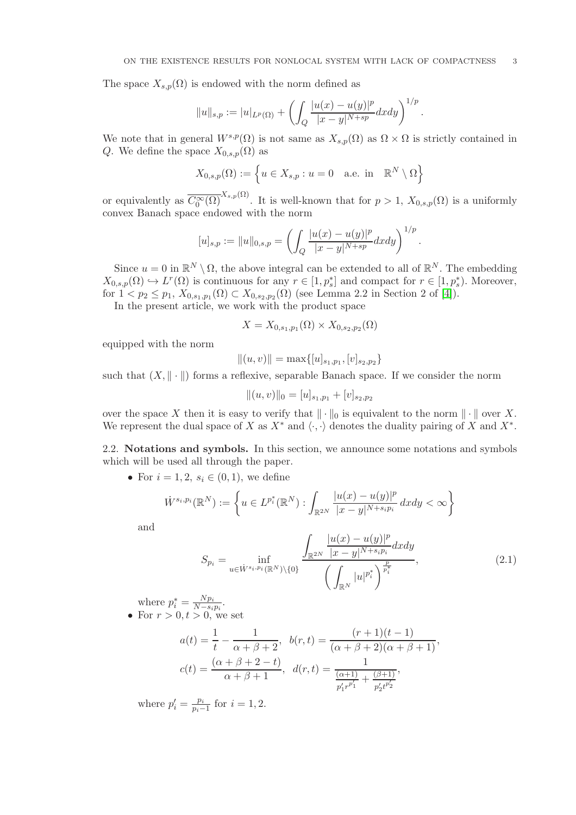The space  $X_{s,p}(\Omega)$  is endowed with the norm defined as

$$
||u||_{s,p} := |u|_{L^p(\Omega)} + \left( \int_Q \frac{|u(x) - u(y)|^p}{|x - y|^{N + sp}} dx dy \right)^{1/p}.
$$

We note that in general  $W^{s,p}(\Omega)$  is not same as  $X_{s,p}(\Omega)$  as  $\Omega \times \Omega$  is strictly contained in Q. We define the space  $X_{0,s,p}(\Omega)$  as

$$
X_{0,s,p}(\Omega) := \left\{ u \in X_{s,p} : u = 0 \quad \text{a.e. in} \quad \mathbb{R}^N \setminus \Omega \right\}
$$

or equivalently as  $\overline{C_0^{\infty}(\Omega)}^{X_{s,p}(\Omega)}$ . It is well-known that for  $p > 1$ ,  $X_{0,s,p}(\Omega)$  is a uniformly convex Banach space endowed with the norm

$$
[u]_{s,p} := ||u||_{0,s,p} = \left(\int_Q \frac{|u(x) - u(y)|^p}{|x - y|^{N + sp}} dx dy\right)^{1/p}.
$$

Since  $u = 0$  in  $\mathbb{R}^N \setminus \Omega$ , the above integral can be extended to all of  $\mathbb{R}^N$ . The embedding  $X_{0,s,p}(\Omega) \hookrightarrow L^r(\Omega)$  is continuous for any  $r \in [1,p_s^*]$  and compact for  $r \in [1,p_s^*)$ . Moreover, for  $1 < p_2 \le p_1$ ,  $X_{0,s_1,p_1}(\Omega) \subset X_{0,s_2,p_2}(\Omega)$  (see Lemma 2.2 in Section 2 of [\[4\]](#page-14-3)).

In the present article, we work with the product space

$$
X = X_{0,s_1,p_1}(\Omega) \times X_{0,s_2,p_2}(\Omega)
$$

equipped with the norm

$$
||(u,v)|| = \max\{[u]_{s_1,p_1}, [v]_{s_2,p_2}\}
$$

such that  $(X, \|\cdot\|)$  forms a reflexive, separable Banach space. If we consider the norm

$$
||(u,v)||_0 = [u]_{s_1,p_1} + [v]_{s_2,p_2}
$$

over the space X then it is easy to verify that  $\|\cdot\|_0$  is equivalent to the norm  $\|\cdot\|$  over X. We represent the dual space of X as  $X^*$  and  $\langle \cdot, \cdot \rangle$  denotes the duality pairing of X and  $X^*$ .

2.2. Notations and symbols. In this section, we announce some notations and symbols which will be used all through the paper.

• For  $i = 1, 2, s_i \in (0, 1)$ , we define

$$
\dot{W}^{s_i, p_i}(\mathbb{R}^N) := \left\{ u \in L^{p_i^*}(\mathbb{R}^N) : \int_{\mathbb{R}^{2N}} \frac{|u(x) - u(y)|^p}{|x - y|^{N + s_i p_i}} dx dy < \infty \right\}
$$

and

$$
S_{p_i} = \inf_{u \in \dot{W}^{s_i, p_i}(\mathbb{R}^N) \setminus \{0\}} \frac{\int_{\mathbb{R}^{2N}} \frac{|u(x) - u(y)|^p}{|x - y|^{N + s_i p_i}} dx dy}{\left(\int_{\mathbb{R}^N} |u|^{p_i^*} \right)^{\frac{p}{p_i^*}}},
$$
(2.1)

where  $p_i^* = \frac{Np_i}{N-s_i}$  $\frac{N p_i}{N - s_i p_i}$ . • For  $r > 0, t > 0$ , we set

$$
a(t) = \frac{1}{t} - \frac{1}{\alpha + \beta + 2}, \quad b(r, t) = \frac{(r + 1)(t - 1)}{(\alpha + \beta + 2)(\alpha + \beta + 1)},
$$

$$
c(t) = \frac{(\alpha + \beta + 2 - t)}{\alpha + \beta + 1}, \quad d(r, t) = \frac{1}{\frac{(\alpha + 1)}{p'_1 r^{p'_1}} + \frac{(\beta + 1)}{p'_2 t^{p'_2}}},
$$

where  $p'_i = \frac{p_i}{p_i -}$  $\frac{p_i}{p_i-1}$  for  $i = 1, 2$ .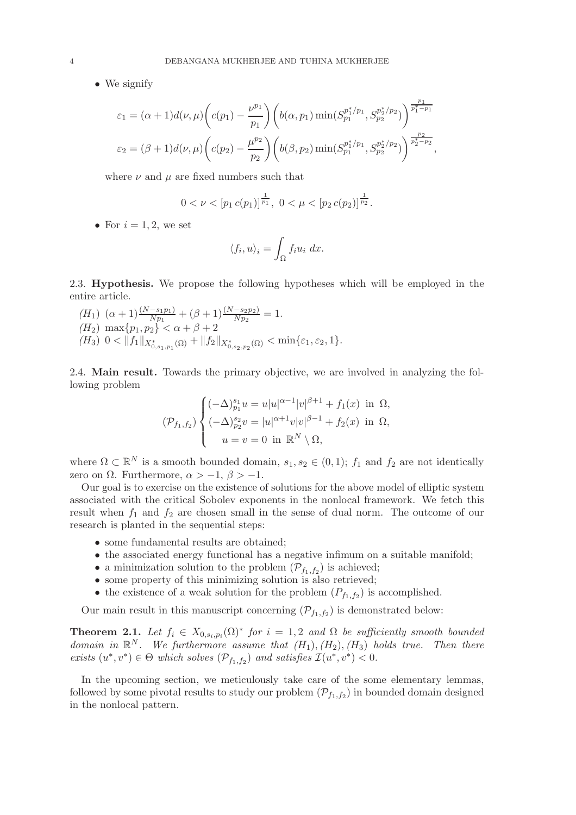• We signify

$$
\varepsilon_1 = (\alpha + 1)d(\nu, \mu)\left(c(p_1) - \frac{\nu^{p_1}}{p_1}\right)\left(b(\alpha, p_1)\min(S_{p_1}^{p_1^* / p_1}, S_{p_2}^{p_2^* / p_2})\right)^{\frac{p_1}{p_1^* - p_1}}
$$
  

$$
\varepsilon_2 = (\beta + 1)d(\nu, \mu)\left(c(p_2) - \frac{\mu^{p_2}}{p_2}\right)\left(b(\beta, p_2)\min(S_{p_1}^{p_1^* / p_1}, S_{p_2}^{p_2^* / p_2})\right)^{\frac{p_2}{p_2^* - p_2}},
$$

where  $\nu$  and  $\mu$  are fixed numbers such that

$$
0 < \nu < \left[p_1\,c(p_1)\right]^{\frac{1}{p_1}},\ 0 < \mu < \left[p_2\,c(p_2)\right]^{\frac{1}{p_2}}.
$$

• For  $i = 1, 2$ , we set

$$
\langle f_i, u \rangle_i = \int_{\Omega} f_i u_i \, dx.
$$

2.3. Hypothesis. We propose the following hypotheses which will be employed in the entire article.

 $(H_1)$   $(\alpha + 1) \frac{(N - s_1 p_1)}{N p_1} + (\beta + 1) \frac{(N - s_2 p_2)}{N p_2} = 1.$  $(H_2)$  max $\{p_1, p_2\} < \alpha + \beta + 2$  $(H_3) \ \ 0 < ||f_1||_{X^*_{0,s_1,p_1}(\Omega)} + ||f_2||_{X^*_{0,s_2,p_2}(\Omega)} < \min\{\varepsilon_1,\varepsilon_2,1\}.$ 

2.4. Main result. Towards the primary objective, we are involved in analyzing the following problem

$$
(\mathcal{P}_{f_1,f_2}) \begin{cases} (-\Delta)^{s_1}_{p_1} u = u |u|^{\alpha-1} |v|^{\beta+1} + f_1(x) & \text{in } \Omega, \\ (-\Delta)^{s_2}_{p_2} v = |u|^{\alpha+1} v |v|^{\beta-1} + f_2(x) & \text{in } \Omega, \\ u = v = 0 & \text{in } \mathbb{R}^N \setminus \Omega, \end{cases}
$$

where  $\Omega \subset \mathbb{R}^N$  is a smooth bounded domain,  $s_1, s_2 \in (0,1)$ ;  $f_1$  and  $f_2$  are not identically zero on  $\Omega$ . Furthermore,  $\alpha > -1$ ,  $\beta > -1$ .

Our goal is to exercise on the existence of solutions for the above model of elliptic system associated with the critical Sobolev exponents in the nonlocal framework. We fetch this result when  $f_1$  and  $f_2$  are chosen small in the sense of dual norm. The outcome of our research is planted in the sequential steps:

- some fundamental results are obtained;
- the associated energy functional has a negative infimum on a suitable manifold;
- a minimization solution to the problem  $(\mathcal{P}_{f_1,f_2})$  is achieved;
- some property of this minimizing solution is also retrieved;
- the existence of a weak solution for the problem  $(P_{f_1,f_2})$  is accomplished.

Our main result in this manuscript concerning  $(\mathcal{P}_{f_1,f_2})$  is demonstrated below:

<span id="page-3-0"></span>**Theorem 2.1.** Let  $f_i \in X_{0,s_i,p_i}(\Omega)^*$  for  $i = 1,2$  and  $\Omega$  be sufficiently smooth bounded domain in  $\mathbb{R}^N$ . We furthermore assume that  $(H_1), (H_2), (H_3)$  holds true. Then there exists  $(u^*, v^*) \in \Theta$  which solves  $(\mathcal{P}_{f_1, f_2})$  and satisfies  $\mathcal{I}(u^*, v^*) < 0$ .

In the upcoming section, we meticulously take care of the some elementary lemmas, followed by some pivotal results to study our problem  $(\mathcal{P}_{f_1,f_2})$  in bounded domain designed in the nonlocal pattern.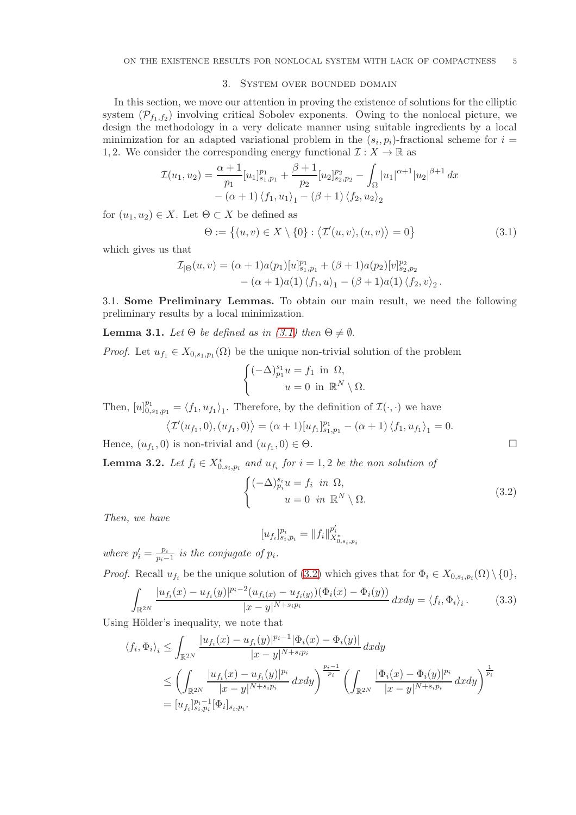### 3. System over bounded domain

In this section, we move our attention in proving the existence of solutions for the elliptic system  $(\mathcal{P}_{f_1,f_2})$  involving critical Sobolev exponents. Owing to the nonlocal picture, we design the methodology in a very delicate manner using suitable ingredients by a local minimization for an adapted variational problem in the  $(s_i, p_i)$ -fractional scheme for  $i =$ 1, 2. We consider the corresponding energy functional  $\mathcal{I}: X \to \mathbb{R}$  as

$$
\mathcal{I}(u_1, u_2) = \frac{\alpha + 1}{p_1} [u_1]_{s_1, p_1}^{p_1} + \frac{\beta + 1}{p_2} [u_2]_{s_2, p_2}^{p_2} - \int_{\Omega} |u_1|^{\alpha + 1} |u_2|^{\beta + 1} dx
$$

$$
- (\alpha + 1) \langle f_1, u_1 \rangle_1 - (\beta + 1) \langle f_2, u_2 \rangle_2
$$

for  $(u_1, u_2) \in X$ . Let  $\Theta \subset X$  be defined as

<span id="page-4-0"></span>
$$
\Theta := \{(u, v) \in X \setminus \{0\} : \langle \mathcal{I}'(u, v), (u, v) \rangle = 0\}
$$
\n(3.1)

which gives us that

$$
\mathcal{I}_{|\Theta}(u,v) = (\alpha+1)a(p_1)[u]_{s_1,p_1}^{p_1} + (\beta+1)a(p_2)[v]_{s_2,p_2}^{p_2} - (\alpha+1)a(1)\langle f_1, u \rangle_1 - (\beta+1)a(1)\langle f_2, v \rangle_2.
$$

3.1. Some Preliminary Lemmas. To obtain our main result, we need the following preliminary results by a local minimization.

**Lemma 3.1.** Let  $\Theta$  be defined as in [\(3.1\)](#page-4-0) then  $\Theta \neq \emptyset$ .

*Proof.* Let  $u_{f_1} \in X_{0,s_1,p_1}(\Omega)$  be the unique non-trivial solution of the problem

$$
\begin{cases}\n(-\Delta)_{p_1}^{s_1} u = f_1 \text{ in } \Omega, \\
u = 0 \text{ in } \mathbb{R}^N \setminus \Omega.\n\end{cases}
$$

Then,  $[u]_{0,s_1,p_1}^{p_1} = \langle f_1, u_{f_1} \rangle_1$ . Therefore, by the definition of  $\mathcal{I}(\cdot, \cdot)$  we have

$$
\langle \mathcal{I}'(u_{f_1}, 0), (u_{f_1}, 0) \rangle = (\alpha + 1) [u_{f_1}]_{s_1, p_1}^{p_1} - (\alpha + 1) \langle f_1, u_{f_1} \rangle_1 = 0.
$$

Hence,  $(u_{f_1}, 0)$  is non-trivial and  $(u_{f_1}, 0) \in \Theta$ .

<span id="page-4-3"></span>**Lemma 3.2.** Let  $f_i \in X^*_{0,s_i,p_i}$  and  $u_{f_i}$  for  $i = 1,2$  be the non solution of

<span id="page-4-1"></span>
$$
\begin{cases}\n(-\Delta)_{p_i}^{s_i} u = f_i & \text{in } \Omega, \\
u = 0 & \text{in } \mathbb{R}^N \setminus \Omega.\n\end{cases}
$$
\n(3.2)

Then, we have

$$
[u_{f_i}]_{s_i,p_i}^{p_i} = \|f_i\|_{X_{0,s_i,p_i}^{*}}^{p'_i}
$$

where  $p'_i = \frac{p_i}{p_i -}$  $\frac{p_i}{p_i-1}$  is the conjugate of  $p_i$ .

*Proof.* Recall  $u_{f_i}$  be the unique solution of [\(3.2\)](#page-4-1) which gives that for  $\Phi_i \in X_{0,s_i,p_i}(\Omega) \setminus \{0\},$ 

<span id="page-4-2"></span>
$$
\int_{\mathbb{R}^{2N}} \frac{|u_{f_i}(x) - u_{f_i}(y)|^{p_i - 2} (u_{f_i(x)} - u_{f_i(y)}) (\Phi_i(x) - \Phi_i(y))}{|x - y|^{N + s_i p_i}} dx dy = \langle f_i, \Phi_i \rangle_i.
$$
 (3.3)

Using Hölder's inequality, we note that

$$
\langle f_i, \Phi_i \rangle_i \leq \int_{\mathbb{R}^{2N}} \frac{|u_{f_i}(x) - u_{f_i}(y)|^{p_i - 1} |\Phi_i(x) - \Phi_i(y)|}{|x - y|^{N + s_i p_i}} dx dy
$$
  

$$
\leq \left( \int_{\mathbb{R}^{2N}} \frac{|u_{f_i}(x) - u_{f_i}(y)|^{p_i}}{|x - y|^{N + s_i p_i}} dx dy \right)^{\frac{p_i - 1}{p_i}} \left( \int_{\mathbb{R}^{2N}} \frac{|\Phi_i(x) - \Phi_i(y)|^{p_i}}{|x - y|^{N + s_i p_i}} dx dy \right)^{\frac{1}{p_i}}
$$
  

$$
= [u_{f_i}]_{s_i, p_i}^{p_i - 1} [\Phi_i]_{s_i, p_i}.
$$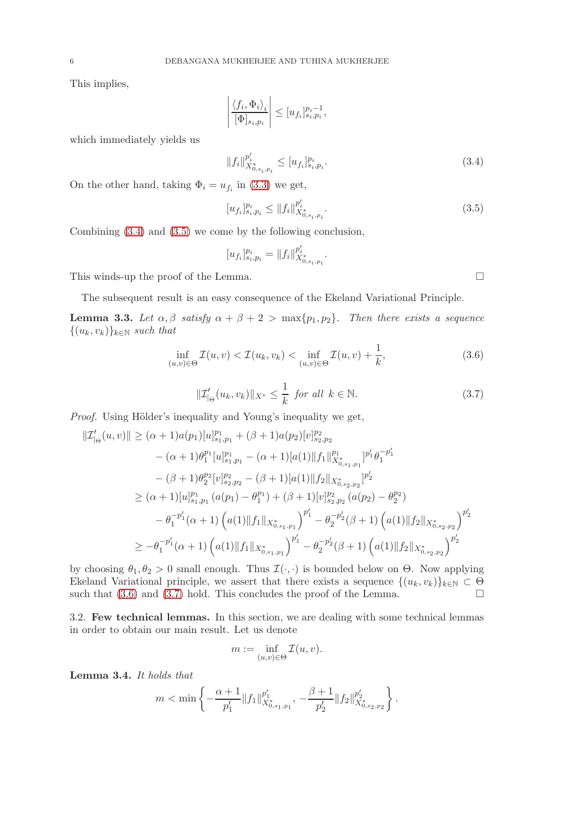This implies,

$$
\left|\frac{\langle f_i, \Phi_i \rangle_i}{[\Phi]_{s_i, p_i}}\right| \leq [u_{f_i}]_{s_i, p_i}^{p_i - 1},
$$

which immediately yields us

$$
||f_i||_{X_{0,s_i,p_i}^{s_i}}^{p_i'} \le [u_{f_i}]_{s_i,p_i}^{p_i}.
$$
\n(3.4)

On the other hand, taking  $\Phi_i = u_{f_i}$  in [\(3.3\)](#page-4-2) we get,

$$
[u_{f_i}]_{s_i,p_i}^{p_i} \le ||f_i||_{X_{0,s_i,p_i}^{p_i}^*}^{p_i'}.
$$
\n(3.5)

Combining [\(3.4\)](#page-5-0) and [\(3.5\)](#page-5-1) we come by the following conclusion,

$$
[u_{f_i}]_{s_i,p_i}^{p_i} = \|f_i\|_{X_{0,s_i,p_i}^{p_i} }^{p_i'}.
$$

This winds-up the proof of the Lemma.

The subsequent result is an easy consequence of the Ekeland Variational Principle.

<span id="page-5-5"></span>**Lemma 3.3.** Let  $\alpha, \beta$  satisfy  $\alpha + \beta + 2 > \max\{p_1, p_2\}$ . Then there exists a sequence  $\{(u_k, v_k)\}_{k\in\mathbb{N}}$  such that

$$
\inf_{(u,v)\in\Theta} \mathcal{I}(u,v) < \mathcal{I}(u_k, v_k) < \inf_{(u,v)\in\Theta} \mathcal{I}(u,v) + \frac{1}{k},\tag{3.6}
$$

$$
\|\mathcal{I}'_{|\Theta}(u_k, v_k)\|_{X^*} \le \frac{1}{k} \text{ for all } k \in \mathbb{N}.
$$
 (3.7)

Proof. Using Hölder's inequality and Young's inequality we get,

$$
\begin{aligned}\n||\mathcal{I}_{|\Theta}'(u,v)|| &\geq (\alpha+1)a(p_1)[u]_{s_1,p_1}^{p_1} + (\beta+1)a(p_2)[v]_{s_2,p_2}^{p_2} \\
&\quad - (\alpha+1)\theta_1^{p_1}[u]_{s_1,p_1}^{p_1} - (\alpha+1)[a(1)\|f_1\|_{X_{0,s_1,p_1}^{p_1}}^{p_1} + \theta_1^{-p_1'} \\
&\quad - (\beta+1)\theta_2^{p_2}[v]_{s_2,p_2}^{p_2} - (\beta+1)[a(1)\|f_2\|_{X_{0,s_2,p_2}^*}]_{p_2'}^{p_2'} \\
&\geq (\alpha+1)[u]_{s_1,p_1}^{p_1} (a(p_1) - \theta_1^{p_1}) + (\beta+1)[v]_{s_2,p_2}^{p_2} (a(p_2) - \theta_2^{p_2}) \\
&\quad - \theta_1^{-p_1'}(\alpha+1) \left(a(1)\|f_1\|_{X_{0,s_1,p_1}^*}\right)^{p_1'} - \theta_2^{-p_2'}(\beta+1) \left(a(1)\|f_2\|_{X_{0,s_2,p_2}^*}\right)^{p_2'} \\
&\geq - \theta_1^{-p_1'}(\alpha+1) \left(a(1)\|f_1\|_{X_{0,s_1,p_1}^*}\right)^{p_1'} - \theta_2^{-p_2'}(\beta+1) \left(a(1)\|f_2\|_{X_{0,s_2,p_2}^*}\right)^{p_2'} \\
&\geq - \theta_1^{-p_1'}(\alpha+1) \left(a(1)\|f_1\|_{X_{0,s_1,p_1}^*}\right)^{p_1'} - \theta_2^{-p_2'}(\beta+1) \left(a(1)\|f_2\|_{X_{0,s_2,p_2}^*}\right)^{p_2'}\n\end{aligned}
$$

by choosing  $\theta_1, \theta_2 > 0$  small enough. Thus  $\mathcal{I}(\cdot, \cdot)$  is bounded below on  $\Theta$ . Now applying Ekeland Variational principle, we assert that there exists a sequence  $\{(u_k, v_k)\}_{k\in\mathbb{N}}\subset\Theta$ such that  $(3.6)$  and  $(3.7)$  hold. This concludes the proof of the Lemma.

3.2. Few technical lemmas. In this section, we are dealing with some technical lemmas in order to obtain our main result. Let us denote

$$
m:=\inf_{(u,v)\in \Theta} \mathcal{I}(u,v).
$$

<span id="page-5-4"></span>Lemma 3.4. It holds that

$$
m<\min\left\{-\frac{\alpha+1}{p'_1}\|f_1\|_{X^*_{0,s_1,p_1}}^{p'_1},\ -\frac{\beta+1}{p'_2}\|f_2\|_{X^*_{0,s_2,p_2}}^{p'_2}\right\}.
$$

<span id="page-5-3"></span><span id="page-5-2"></span><span id="page-5-1"></span><span id="page-5-0"></span>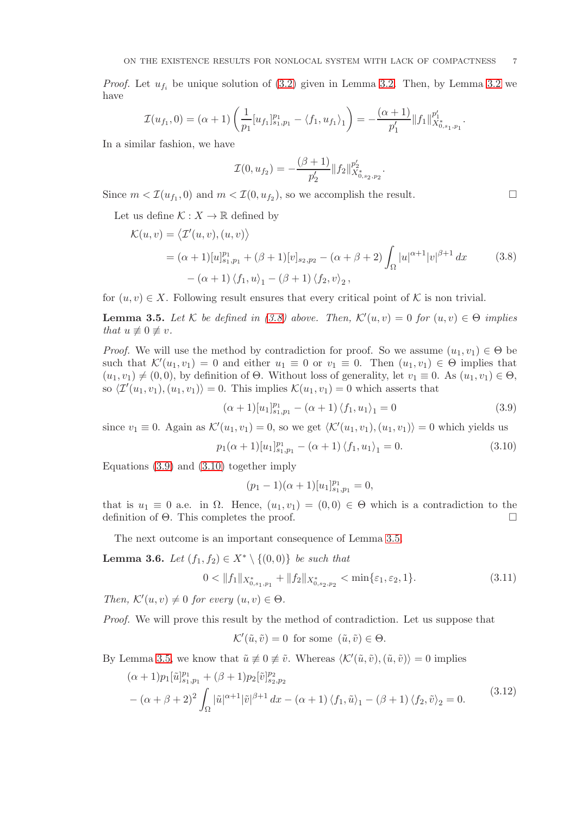*Proof.* Let  $u_{f_i}$  be unique solution of [\(3.2\)](#page-4-1) given in Lemma [3.2.](#page-4-3) Then, by Lemma [3.2](#page-4-3) we have

$$
\mathcal{I}(u_{f_1},0)=(\alpha+1)\left(\frac{1}{p_1}[u_{f_1}]_{s_1,p_1}^{p_1}-\langle f_1,u_{f_1}\rangle_1\right)=-\frac{(\alpha+1)}{p'_1}\|f_1\|_{X^*_{0,s_1,p_1}}^{p'_1}.
$$

In a similar fashion, we have

$$
\mathcal{I}(0, u_{f_2}) = -\frac{(\beta + 1)}{p'_2} ||f_2||_{X^*_{0, s_2, p_2}}^{p'_2}
$$

Since  $m < \mathcal{I}(u_{f_1}, 0)$  and  $m < \mathcal{I}(0, u_{f_2})$ , so we accomplish the result.

Let us define  $\mathcal{K}: X \to \mathbb{R}$  defined by

<span id="page-6-0"></span>
$$
\mathcal{K}(u, v) = \langle \mathcal{I}'(u, v), (u, v) \rangle \n= (\alpha + 1)[u]_{s_1, p_1}^{p_1} + (\beta + 1)[v]_{s_2, p_2} - (\alpha + \beta + 2) \int_{\Omega} |u|^{\alpha + 1} |v|^{\beta + 1} dx
$$
\n(3.8)\n  
\n- (\alpha + 1) \langle f\_1, u \rangle\_1 - (\beta + 1) \langle f\_2, v \rangle\_2,

for  $(u, v) \in X$ . Following result ensures that every critical point of K is non trivial.

<span id="page-6-3"></span>**Lemma 3.5.** Let K be defined in [\(3.8\)](#page-6-0) above. Then,  $\mathcal{K}'(u, v) = 0$  for  $(u, v) \in \Theta$  implies that  $u \not\equiv 0 \not\equiv v$ .

*Proof.* We will use the method by contradiction for proof. So we assume  $(u_1, v_1) \in \Theta$  be such that  $\mathcal{K}'(u_1, v_1) = 0$  and either  $u_1 \equiv 0$  or  $v_1 \equiv 0$ . Then  $(u_1, v_1) \in \Theta$  implies that  $(u_1, v_1) \neq (0, 0)$ , by definition of Θ. Without loss of generality, let  $v_1 \equiv 0$ . As  $(u_1, v_1) \in \Theta$ , so  $\langle \mathcal{I}'(u_1, v_1), (u_1, v_1) \rangle = 0$ . This implies  $\mathcal{K}(u_1, v_1) = 0$  which asserts that

$$
(\alpha + 1)[u_1]_{s_1, p_1}^{p_1} - (\alpha + 1)\langle f_1, u_1 \rangle_1 = 0
$$
\n(3.9)

.

since  $v_1 \equiv 0$ . Again as  $\mathcal{K}'(u_1, v_1) = 0$ , so we get  $\langle \mathcal{K}'(u_1, v_1), (u_1, v_1) \rangle = 0$  which yields us

$$
p_1(\alpha+1)[u_1]_{s_1,p_1}^{p_1} - (\alpha+1)\langle f_1, u_1 \rangle_1 = 0.
$$
 (3.10)

Equations [\(3.9\)](#page-6-1) and [\(3.10\)](#page-6-2) together imply

<span id="page-6-5"></span><span id="page-6-2"></span>
$$
(p_1 - 1)(\alpha + 1)[u_1]_{s_1, p_1}^{p_1} = 0,
$$

that is  $u_1 \equiv 0$  a.e. in  $\Omega$ . Hence,  $(u_1, v_1) = (0, 0) \in \Theta$  which is a contradiction to the definition of Θ. This completes the proof.

The next outcome is an important consequence of Lemma [3.5.](#page-6-3)

<span id="page-6-6"></span>**Lemma 3.6.** Let  $(f_1, f_2) \in X^* \setminus \{(0, 0)\}\)$  be such that

$$
0 < \|f_1\|_{X^*_{0,s_1,p_1}} + \|f_2\|_{X^*_{0,s_2,p_2}} < \min\{\varepsilon_1,\varepsilon_2,1\}.\tag{3.11}
$$

Then,  $\mathcal{K}'(u, v) \neq 0$  for every  $(u, v) \in \Theta$ .

Proof. We will prove this result by the method of contradiction. Let us suppose that

$$
\mathcal{K}'(\tilde{u}, \tilde{v}) = 0
$$
 for some  $(\tilde{u}, \tilde{v}) \in \Theta$ .

By Lemma [3.5,](#page-6-3) we know that  $\tilde{u} \neq 0 \neq \tilde{v}$ . Whereas  $\langle \mathcal{K}'(\tilde{u}, \tilde{v}),(\tilde{u}, \tilde{v}) \rangle = 0$  implies

<span id="page-6-4"></span>
$$
(\alpha + 1)p_1[\tilde{u}]_{s_1,p_1}^{p_1} + (\beta + 1)p_2[\tilde{v}]_{s_2,p_2}^{p_2}
$$
  
 
$$
-(\alpha + \beta + 2)^2 \int_{\Omega} |\tilde{u}|^{\alpha+1} |\tilde{v}|^{\beta+1} dx - (\alpha + 1) \langle f_1, \tilde{u} \rangle_1 - (\beta + 1) \langle f_2, \tilde{v} \rangle_2 = 0.
$$
 (3.12)

<span id="page-6-1"></span>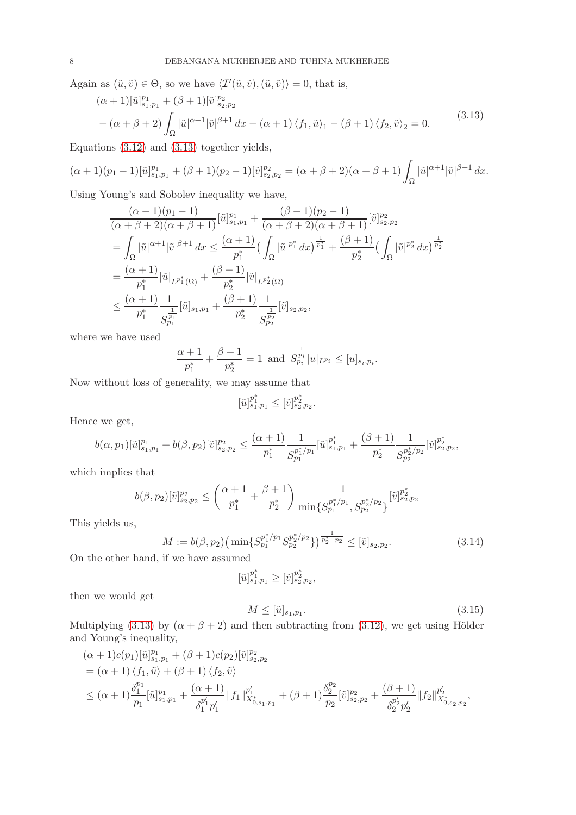Again as  $(\tilde{u}, \tilde{v}) \in \Theta$ , so we have  $\langle \mathcal{I}'(\tilde{u}, \tilde{v}),(\tilde{u}, \tilde{v}) \rangle = 0$ , that is,

<span id="page-7-0"></span>
$$
(\alpha + 1)[\tilde{u}]_{s_1, p_1}^{p_1} + (\beta + 1)[\tilde{v}]_{s_2, p_2}^{p_2}
$$
  
–  $(\alpha + \beta + 2) \int_{\Omega} |\tilde{u}|^{\alpha + 1} |\tilde{v}|^{\beta + 1} dx - (\alpha + 1) \langle f_1, \tilde{u} \rangle_1 - (\beta + 1) \langle f_2, \tilde{v} \rangle_2 = 0.$  (3.13)

Equations [\(3.12\)](#page-6-4) and [\(3.13\)](#page-7-0) together yields,

$$
(\alpha+1)(p_1-1)[\tilde{u}]_{s_1,p_1}^{p_1}+(\beta+1)(p_2-1)[\tilde{v}]_{s_2,p_2}^{p_2}=(\alpha+\beta+2)(\alpha+\beta+1)\int_{\Omega}|\tilde{u}|^{\alpha+1}|\tilde{v}|^{\beta+1} dx.
$$

Using Young's and Sobolev inequality we have,

$$
\frac{(\alpha+1)(p_1-1)}{(\alpha+\beta+2)(\alpha+\beta+1)}[\tilde{u}]_{s_1,p_1}^{p_1} + \frac{(\beta+1)(p_2-1)}{(\alpha+\beta+2)(\alpha+\beta+1)}[\tilde{v}]_{s_2,p_2}^{p_2}
$$
\n
$$
= \int_{\Omega} |\tilde{u}|^{\alpha+1}|\tilde{v}|^{\beta+1} dx \leq \frac{(\alpha+1)}{p_1^*} \Big(\int_{\Omega} |\tilde{u}|^{p_1^*} dx\Big)^{\frac{1}{p_1^*}} + \frac{(\beta+1)}{p_2^*} \Big(\int_{\Omega} |\tilde{v}|^{p_2^*} dx\Big)^{\frac{1}{p_2^*}}
$$
\n
$$
= \frac{(\alpha+1)}{p_1^*} |\tilde{u}|_{L^{p_1^*}(\Omega)} + \frac{(\beta+1)}{p_2^*} |\tilde{v}|_{L^{p_2^*}(\Omega)}
$$
\n
$$
\leq \frac{(\alpha+1)}{p_1^*} \frac{1}{S_{p_1}^{\frac{1}{p_1}}} [\tilde{u}]_{s_1,p_1} + \frac{(\beta+1)}{p_2^*} \frac{1}{S_{p_2}^{\frac{1}{p_2}}} [\tilde{v}]_{s_2,p_2},
$$

where we have used

$$
\frac{\alpha+1}{p_1^*} + \frac{\beta+1}{p_2^*} = 1 \text{ and } S_{p_i}^{\frac{1}{p_i}} |u|_{L^{p_i}} \le [u]_{s_i, p_i}.
$$

Now without loss of generality, we may assume that

$$
[\tilde{u}]_{s_1,p_1}^{p_1^*} \leq [\tilde{v}]_{s_2,p_2}^{p_2^*}.
$$

Hence we get,

$$
b(\alpha, p_1)[\tilde{u}]_{s_1, p_1}^{p_1} + b(\beta, p_2)[\tilde{v}]_{s_2, p_2}^{p_2} \le \frac{(\alpha + 1)}{p_1^*} \frac{1}{S_{p_1}^{p_1^*/p_1}} [\tilde{u}]_{s_1, p_1}^{p_1^*} + \frac{(\beta + 1)}{p_2^*} \frac{1}{S_{p_2}^{p_2^*/p_2}} [\tilde{v}]_{s_2, p_2}^{p_2^*},
$$

which implies that

$$
b(\beta, p_2)[\tilde{v}]_{s_2, p_2}^{p_2} \le \left(\frac{\alpha+1}{p_1^*} + \frac{\beta+1}{p_2^*}\right) \frac{1}{\min\{S_{p_1}^{p_1^*/p_1}, S_{p_2}^{p_2^*/p_2}\}} [\tilde{v}]_{s_2, p_2}^{p_2^*}
$$

This yields us,

<span id="page-7-1"></span>
$$
M := b(\beta, p_2) \left( \min \{ S_{p_1}^{p_1^* / p_1} S_{p_2}^{p_2^* / p_2} \} \right)^{\frac{1}{p_2^* - p_2}} \leq [\tilde{v}]_{s_2, p_2}.
$$
\n(3.14)

On the other hand, if we have assumed

$$
[\tilde{u}]_{s_1,p_1}^{p_1^*} \ge [\tilde{v}]_{s_2,p_2}^{p_2^*},
$$

then we would get

<span id="page-7-2"></span>
$$
M \leq [\tilde{u}]_{s_1, p_1}.\tag{3.15}
$$

Multiplying [\(3.13\)](#page-7-0) by  $(\alpha + \beta + 2)$  and then subtracting from [\(3.12\)](#page-6-4), we get using Hölder and Young's inequality,

$$
(\alpha + 1)c(p_1)[\tilde{u}]_{s_1,p_1}^{p_1} + (\beta + 1)c(p_2)[\tilde{v}]_{s_2,p_2}^{p_2}
$$
  
=  $(\alpha + 1) \langle f_1, \tilde{u} \rangle + (\beta + 1) \langle f_2, \tilde{v} \rangle$   

$$
\leq (\alpha + 1)\frac{\delta_1^{p_1}}{p_1}[\tilde{u}]_{s_1,p_1}^{p_1} + \frac{(\alpha + 1)}{\delta_1^{p'_1}p'_1} ||f_1||_{X_{0,s_1,p_1}}^{p'_1} + (\beta + 1)\frac{\delta_2^{p_2}}{p_2}[\tilde{v}]_{s_2,p_2}^{p_2} + \frac{(\beta + 1)}{\delta_2^{p'_2}p'_2} ||f_2||_{X_{0,s_2,p_2}}^{p'_2},
$$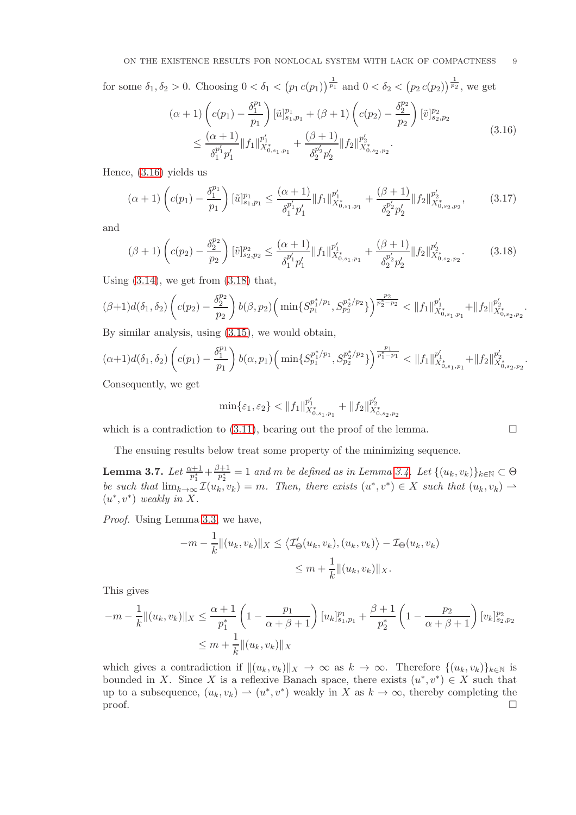for some  $\delta_1, \delta_2 > 0$ . Choosing  $0 < \delta_1 < (p_1 c(p_1))^{\frac{1}{p_1}}$  and  $0 < \delta_2 < (p_2 c(p_2))^{\frac{1}{p_2}}$ , we get

<span id="page-8-0"></span>
$$
(\alpha + 1) \left( c(p_1) - \frac{\delta_1^{p_1}}{p_1} \right) [\tilde{u}]_{s_1, p_1}^{p_1} + (\beta + 1) \left( c(p_2) - \frac{\delta_2^{p_2}}{p_2} \right) [\tilde{v}]_{s_2, p_2}^{p_2}
$$
  

$$
\leq \frac{(\alpha + 1)}{\delta_1^{p'_1} p'_1} ||f_1||_{X_{0, s_1, p_1}}^{p'_1} + \frac{(\beta + 1)}{\delta_2^{p'_2} p'_2} ||f_2||_{X_{0, s_2, p_2}}^{p'_2}.
$$
\n(3.16)

Hence, [\(3.16\)](#page-8-0) yields us

$$
(\alpha+1)\left(c(p_1)-\frac{\delta_1^{p_1}}{p_1}\right)[\tilde{u}]_{s_1,p_1}^{p_1} \le \frac{(\alpha+1)}{\delta_1^{p_1'}p_1'}\|f_1\|_{X_{0,s_1,p_1}^*}^{p_1'} + \frac{(\beta+1)}{\delta_2^{p_2'}p_2'}\|f_2\|_{X_{0,s_2,p_2}^*}^{p_2'},\tag{3.17}
$$

and

<span id="page-8-1"></span>
$$
(\beta+1)\left(c(p_2)-\frac{\delta_2^{p_2}}{p_2}\right)[\tilde{v}]_{s_2,p_2}^{p_2} \le \frac{(\alpha+1)}{\delta_1^{p_1'}p_1'}\|f_1\|_{X_{0,s_1,p_1}^*}^{p_1'} + \frac{(\beta+1)}{\delta_2^{p_2'}p_2'}\|f_2\|_{X_{0,s_2,p_2}^*}^{p_2'}.
$$
 (3.18)

Using  $(3.14)$ , we get from  $(3.18)$  that,

$$
(\beta+1)d(\delta_1,\delta_2)\left(c(p_2)-\frac{\delta_2^{p_2}}{p_2}\right)b(\beta,p_2)\left(\min\{S_{p_1}^{p_1^*/p_1},S_{p_2}^{p_2^*/p_2}\}\right)^{\frac{p_2}{p_2^*-p_2}} < \|f_1\|_{X^*_{0,s_1,p_1}}^{p_1'} + \|f_2\|_{X^*_{0,s_2,p_2}}^{p_2'}.
$$

By similar analysis, using [\(3.15\)](#page-7-2), we would obtain,

$$
(\alpha+1)d(\delta_1,\delta_2)\left(c(p_1)-\frac{\delta_1^{p_1}}{p_1}\right)b(\alpha,p_1)\left(\min\{S_{p_1}^{p_1^*/p_1},S_{p_2}^{p_2^*/p_2}\}\right)^{\frac{p_1}{p_1^*-p_1}} < \|f_1\|_{X_{0,s_1,p_1}^{p_1'}}^{p_1'} + \|f_2\|_{X_{0,s_2,p_2}^{p_2}}^{p_2'}.
$$

Consequently, we get

$$
\min\{\varepsilon_1,\varepsilon_2\}<\|f_1\|_{X^*_{0,s_1,p_1}}^{p_1'}+\|f_2\|_{X^*_{0,s_2,p_2}}^{p_2'}
$$

which is a contradiction to  $(3.11)$ , bearing out the proof of the lemma.

The ensuing results below treat some property of the minimizing sequence.

<span id="page-8-2"></span>Lemma 3.7. Let  $\frac{\alpha+1}{p^*_1}+\frac{\beta+1}{p^*_2}$  $p_2^{n+1} = 1$  and m be defined as in Lemma [3.4.](#page-5-4) Let  $\{(u_k, v_k)\}_{k \in \mathbb{N}} \subset \Theta$ be such that  $\lim_{k\to\infty} \mathcal{I}(u_k, v_k) = m$ . Then, there exists  $(u^*, v^*) \in X$  such that  $(u_k, v_k) \to$  $(u^*, v^*)$  weakly in X.

Proof. Using Lemma [3.3,](#page-5-5) we have,

$$
-m - \frac{1}{k} ||(u_k, v_k)||_X \le \langle \mathcal{I}'_{\Theta}(u_k, v_k), (u_k, v_k) \rangle - \mathcal{I}_{\Theta}(u_k, v_k)
$$
  

$$
\le m + \frac{1}{k} ||(u_k, v_k)||_X.
$$

This gives

$$
-m - \frac{1}{k} ||(u_k, v_k)||_X \le \frac{\alpha + 1}{p_1^*} \left(1 - \frac{p_1}{\alpha + \beta + 1}\right) [u_k]_{s_1, p_1}^{p_1} + \frac{\beta + 1}{p_2^*} \left(1 - \frac{p_2}{\alpha + \beta + 1}\right) [v_k]_{s_2, p_2}^{p_2}
$$
  

$$
\le m + \frac{1}{k} ||(u_k, v_k)||_X
$$

which gives a contradiction if  $\|(u_k, v_k)\|_X \to \infty$  as  $k \to \infty$ . Therefore  $\{(u_k, v_k)\}_{k\in\mathbb{N}}$  is bounded in X. Since X is a reflexive Banach space, there exists  $(u^*, v^*) \in X$  such that up to a subsequence,  $(u_k, v_k) \to (u^*, v^*)$  weakly in X as  $k \to \infty$ , thereby completing the  $\Box$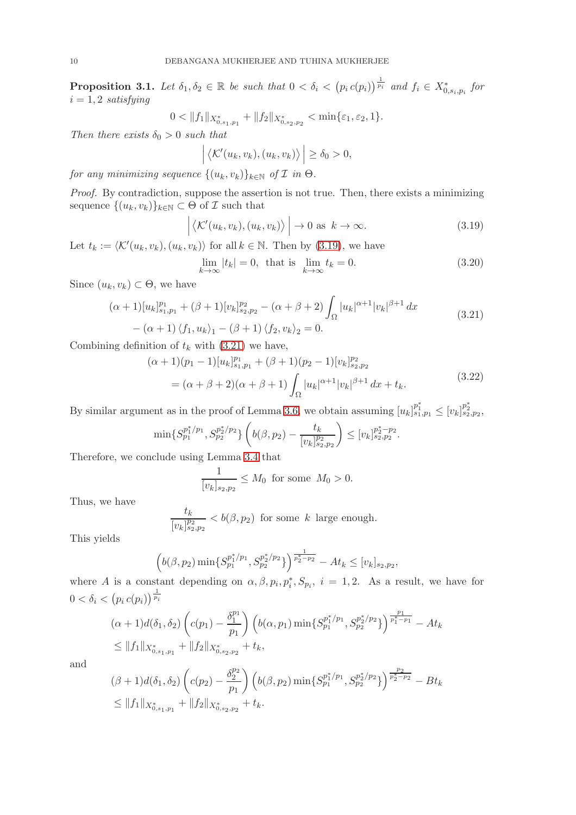<span id="page-9-2"></span>**Proposition 3.1.** Let  $\delta_1, \delta_2 \in \mathbb{R}$  be such that  $0 < \delta_i < (p_i c(p_i))^{\frac{1}{p_i}}$  and  $f_i \in X^*_{0,s_i,p_i}$  for  $i = 1, 2$  satisfying

$$
0 < ||f_1||_{X^*_{0,s_1,p_1}} + ||f_2||_{X^*_{0,s_2,p_2}} < \min\{\varepsilon_1,\varepsilon_2,1\}.
$$

Then there exists  $\delta_0 > 0$  such that

$$
\left| \langle \mathcal{K}'(u_k, v_k), (u_k, v_k) \rangle \right| \geq \delta_0 > 0,
$$

for any minimizing sequence  $\{(u_k, v_k)\}_{k\in\mathbb{N}}$  of  $\mathcal I$  in  $\Theta$ .

Proof. By contradiction, suppose the assertion is not true. Then, there exists a minimizing sequence  $\{(u_k, v_k)\}_{k\in\mathbb{N}} \subset \Theta$  of  $\mathcal I$  such that

<span id="page-9-0"></span>
$$
\left| \left\langle \mathcal{K}'(u_k, v_k), (u_k, v_k) \right\rangle \right| \to 0 \text{ as } k \to \infty.
$$
 (3.19)

Let  $t_k := \langle \mathcal{K}'(u_k, v_k), (u_k, v_k) \rangle$  for all  $k \in \mathbb{N}$ . Then by [\(3.19\)](#page-9-0), we have

$$
\lim_{k \to \infty} |t_k| = 0, \text{ that is } \lim_{k \to \infty} t_k = 0. \tag{3.20}
$$

Since  $(u_k, v_k) \subset \Theta$ , we have

<span id="page-9-1"></span>
$$
(\alpha + 1)[u_k]_{s_1, p_1}^{p_1} + (\beta + 1)[v_k]_{s_2, p_2}^{p_2} - (\alpha + \beta + 2) \int_{\Omega} |u_k|^{\alpha + 1} |v_k|^{\beta + 1} dx
$$
  
 
$$
- (\alpha + 1) \langle f_1, u_k \rangle_1 - (\beta + 1) \langle f_2, v_k \rangle_2 = 0.
$$
 (3.21)

Combining definition of  $t_k$  with [\(3.21\)](#page-9-1) we have,

$$
(\alpha + 1)(p_1 - 1)[u_k]_{s_1, p_1}^{p_1} + (\beta + 1)(p_2 - 1)[v_k]_{s_2, p_2}^{p_2}
$$
  
= 
$$
(\alpha + \beta + 2)(\alpha + \beta + 1)\int_{\Omega} |u_k|^{\alpha + 1}|v_k|^{\beta + 1} dx + t_k.
$$
 (3.22)

By similar argument as in the proof of Lemma [3.6,](#page-6-6) we obtain assuming  $[u_k]_{s_1,p_1}^{p_1^*} \le [v_k]_{s_2,p_2}^{p_2^*}$ ,

$$
\min\{S_{p_1}^{p_1^*/p_1},S_{p_2}^{p_2^*/p_2}\}\left(b(\beta,p_2)-\frac{t_k}{[v_k]_{s_2,p_2}^{p_2}}\right)\leq [v_k]_{s_2,p_2}^{p_2^*-p_2}.
$$

Therefore, we conclude using Lemma [3.4](#page-5-4) that

$$
\frac{1}{[v_k]_{s_2, p_2}} \le M_0 \text{ for some } M_0 > 0.
$$

Thus, we have

$$
\frac{t_k}{[v_k]_{s_2,p_2}^{p_2}} < b(\beta,p_2) \text{ for some } k \text{ large enough.}
$$

This yields

$$
\left(b(\beta, p_2)\min\{S_{p_1}^{p_1^*/p_1}, S_{p_2}^{p_2^*/p_2}\}\right)^{\frac{1}{p_2^*-p_2}} - At_k \le [v_k]_{s_2, p_2},
$$

where A is a constant depending on  $\alpha, \beta, p_i, p_i^*, S_{p_i}, i = 1, 2$ . As a result, we have for  $0 < \delta_i < (p_i c(p_i))^{\frac{1}{p_i}}$ 

$$
(\alpha + 1)d(\delta_1, \delta_2) \left( c(p_1) - \frac{\delta_1^{p_1}}{p_1} \right) \left( b(\alpha, p_1) \min\{S_{p_1}^{p_1^*/p_1}, S_{p_2}^{p_2^*/p_2} \} \right)^{\frac{p_1}{p_1^*-p_1}} - At_k
$$
  
\n
$$
\leq ||f_1||_{X^*_{0,s_1,p_1}} + ||f_2||_{X^*_{0,s_2,p_2}} + t_k,
$$

and

$$
\begin{aligned} &(\beta+1)d(\delta_1,\delta_2)\left(c(p_2)-\frac{\delta_2^{p_2}}{p_1}\right)\left(b(\beta,p_2)\min\{S_{p_1}^{p_1^*/p_1},S_{p_2}^{p_2^*/p_2}\}\right)^{\frac{p_2}{p_2^*-p_2}}-Bt_k\\ &\leq \|f_1\|_{X^*_{0,s_1,p_1}}+\|f_2\|_{X^*_{0,s_2,p_2}}+t_k.\end{aligned}
$$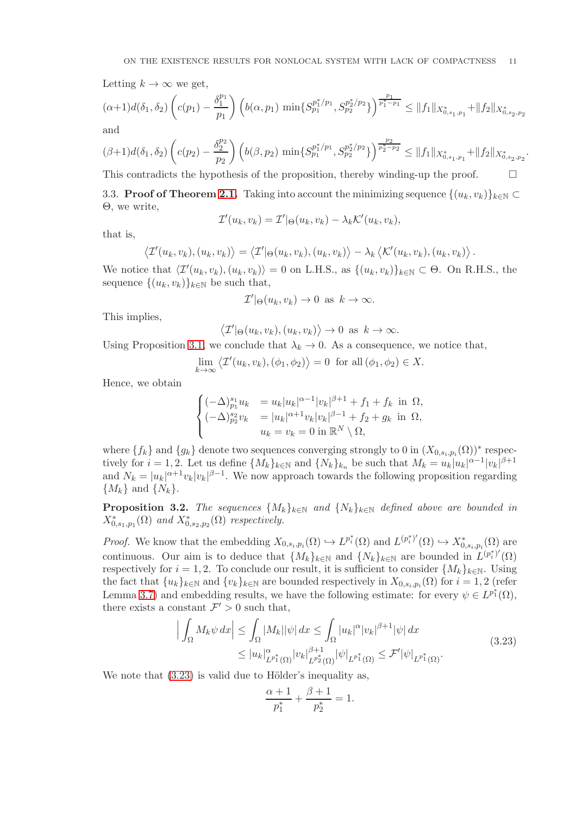Letting  $k \to \infty$  we get,

$$
(\alpha+1)d(\delta_1,\delta_2)\left(c(p_1)-\frac{\delta_1^{p_1}}{p_1}\right)\left(b(\alpha,p_1)\min\{S_{p_1}^{p_1^*/p_1},S_{p_2}^{p_2^*/p_2}\}\right)^{\frac{p_1}{p_1^*-p_1}} \leq \|f_1\|_{X^*_{0,s_1,p_1}} + \|f_2\|_{X^*_{0,s_2,p_2}}
$$
 and

$$
(\beta+1)d(\delta_1,\delta_2)\left(c(p_2)-\frac{\delta_2^{p_2}}{p_2}\right)\left(b(\beta,p_2)\min\{S_{p_1}^{p_1^*/p_1},S_{p_2}^{p_2^*/p_2}\}\right)^{\frac{p_2}{p_2^*-p_2}} \leq \|f_1\|_{X^*_{0,s_1,p_1}}+\|f_2\|_{X^*_{0,s_2,p_2}}.
$$

This contradicts the hypothesis of the proposition, thereby winding-up the proof.  $\Box$ 

3.3. **Proof of Theorem [2.1.](#page-3-0)** Taking into account the minimizing sequence  $\{(u_k, v_k)\}_{k\in\mathbb{N}}\subset$ Θ, we write,

$$
\mathcal{I}'(u_k, v_k) = \mathcal{I}'|_{\Theta}(u_k, v_k) - \lambda_k \mathcal{K}'(u_k, v_k),
$$

that is,

$$
\langle \mathcal{I}'(u_k,v_k),(u_k,v_k)\rangle=\langle \mathcal{I}'|\Theta(u_k,v_k),(u_k,v_k)\rangle-\lambda_k\langle \mathcal{K}'(u_k,v_k),(u_k,v_k)\rangle.
$$

We notice that  $\langle \mathcal{I}'(u_k, v_k), (u_k, v_k) \rangle = 0$  on L.H.S., as  $\{(u_k, v_k)\}_{k \in \mathbb{N}} \subset \Theta$ . On R.H.S., the sequence  $\{(u_k, v_k)\}_{k\in\mathbb{N}}$  be such that,

$$
\mathcal{I}'|_{\Theta}(u_k, v_k) \to 0 \text{ as } k \to \infty.
$$

This implies,

$$
\langle \mathcal{I}'| \Theta(u_k, v_k), (u_k, v_k) \rangle \to 0 \text{ as } k \to \infty.
$$

Using Proposition [3.1,](#page-9-2) we conclude that  $\lambda_k \to 0$ . As a consequence, we notice that,

$$
\lim_{k \to \infty} \langle \mathcal{I}'(u_k, v_k), (\phi_1, \phi_2) \rangle = 0 \text{ for all } (\phi_1, \phi_2) \in X.
$$

Hence, we obtain

$$
\begin{cases}\n(-\Delta)^{s_1}_{p_1} u_k &= u_k |u_k|^{\alpha-1} |v_k|^{\beta+1} + f_1 + f_k \text{ in } \Omega, \\
(-\Delta)^{s_2}_{p_2} v_k &= |u_k|^{\alpha+1} v_k |v_k|^{\beta-1} + f_2 + g_k \text{ in } \Omega, \\
u_k &= v_k = 0 \text{ in } \mathbb{R}^N \setminus \Omega,\n\end{cases}
$$

where  $\{f_k\}$  and  $\{g_k\}$  denote two sequences converging strongly to 0 in  $(X_{0,s_i,p_i}(\Omega))^*$  respectively for  $i = 1, 2$ . Let us define  $\{M_k\}_{k \in \mathbb{N}}$  and  $\{N_k\}_{k_n}$  be such that  $M_k = u_k |u_k|^{\alpha - 1} |v_k|^{\beta + 1}$ and  $N_k = |u_k|^{\alpha+1} v_k |v_k|^{\beta-1}$ . We now approach towards the following proposition regarding  $\{M_k\}$  and  $\{N_k\}$ .

**Proposition 3.2.** The sequences  $\{M_k\}_{k\in\mathbb{N}}$  and  $\{N_k\}_{k\in\mathbb{N}}$  defined above are bounded in  $X_{0,s_1,p_1}^*(\Omega)$  and  $X_{0,s_2,p_2}^*(\Omega)$  respectively.

*Proof.* We know that the embedding  $X_{0,s_i,p_i}(\Omega) \hookrightarrow L^{p_i^*}(\Omega)$  and  $L^{(p_i^*)'}(\Omega) \hookrightarrow X^*_{0,s_i,p_i}(\Omega)$  are continuous. Our aim is to deduce that  $\{M_k\}_{k\in\mathbb{N}}$  and  $\{N_k\}_{k\in\mathbb{N}}$  are bounded in  $L^{(p_i^*)'}(\Omega)$ respectively for  $i = 1, 2$ . To conclude our result, it is sufficient to consider  $\{M_k\}_{k \in \mathbb{N}}$ . Using the fact that  $\{u_k\}_{k\in\mathbb{N}}$  and  $\{v_k\}_{k\in\mathbb{N}}$  are bounded respectively in  $X_{0,s_i,p_i}(\Omega)$  for  $i=1,2$  (refer Lemma [3.7\)](#page-8-2) and embedding results, we have the following estimate: for every  $\psi \in L^{p_1^*}(\Omega)$ , there exists a constant  $\mathcal{F}' > 0$  such that,

<span id="page-10-0"></span>
$$
\left| \int_{\Omega} M_k \psi \, dx \right| \leq \int_{\Omega} |M_k| |\psi| \, dx \leq \int_{\Omega} |u_k|^{\alpha} |v_k|^{\beta+1} |\psi| \, dx
$$
\n
$$
\leq |u_k|_{L^{p_1^*}(\Omega)}^{\alpha} |v_k|_{L^{p_2^*}(\Omega)}^{\beta+1} |\psi|_{L^{p_1^*}(\Omega)} \leq \mathcal{F}' |\psi|_{L^{p_1^*}(\Omega)}.
$$
\n(3.23)

We note that  $(3.23)$  is valid due to Hölder's inequality as,

$$
\frac{\alpha+1}{p_1^*} + \frac{\beta+1}{p_2^*} = 1.
$$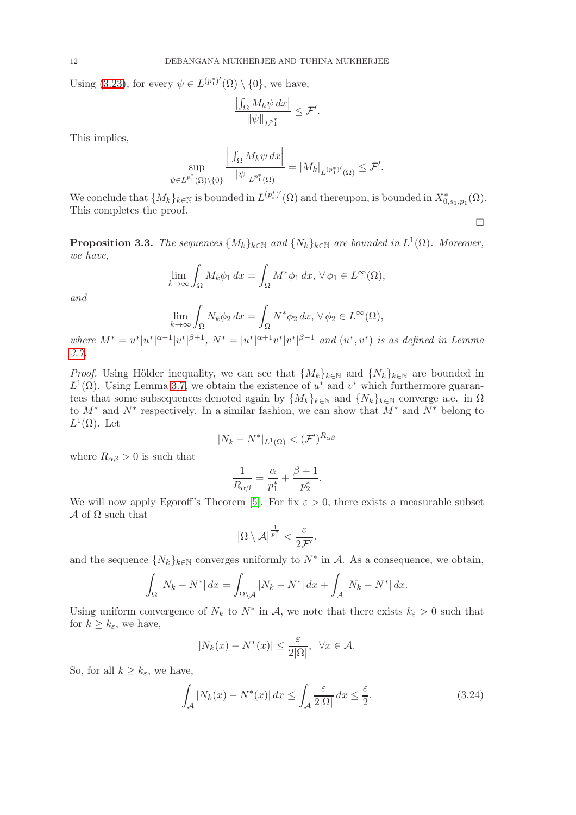Using [\(3.23\)](#page-10-0), for every  $\psi \in L^{(p_1^*)'}(\Omega) \setminus \{0\}$ , we have,

$$
\frac{\left|\int_{\Omega} M_{k} \psi \, dx\right|}{\left\|\psi\right\|_{L^{p_{1}^{\ast}}}} \leq \mathcal{F}'.
$$

This implies,

$$
\sup_{\psi \in L^{p_1^*}(\Omega) \backslash \{0\}} \frac{\left| \int_{\Omega} M_k \psi \, dx \right|}{|\psi|_{L^{p_1^*}(\Omega)}} = |M_k|_{L^{(p_1^*)'}(\Omega)} \leq \mathcal{F}'.
$$

 $\mathbf{r}$ 

We conclude that  $\{M_k\}_{k\in\mathbb{N}}$  is bounded in  $L^{(p_i^*)'}(\Omega)$  and thereupon, is bounded in  $X^*_{0,s_1,p_1}(\Omega)$ . This completes the proof.

 $\Box$ 

<span id="page-11-1"></span>**Proposition 3.3.** The sequences  $\{M_k\}_{k\in\mathbb{N}}$  and  $\{N_k\}_{k\in\mathbb{N}}$  are bounded in  $L^1(\Omega)$ . Moreover, we have,

$$
\lim_{k \to \infty} \int_{\Omega} M_k \phi_1 dx = \int_{\Omega} M^* \phi_1 dx, \,\forall \, \phi_1 \in L^{\infty}(\Omega),
$$

and

$$
\lim_{k \to \infty} \int_{\Omega} N_k \phi_2 \, dx = \int_{\Omega} N^* \phi_2 \, dx, \,\forall \, \phi_2 \in L^{\infty}(\Omega),
$$

where  $M^* = u^* |u^*|^{\alpha-1} |v^*|^{\beta+1}$ ,  $N^* = |u^*|^{\alpha+1} v^* |v^*|^{\beta-1}$  and  $(u^*, v^*)$  is as defined in Lemma [3.7.](#page-8-2)

*Proof.* Using Hölder inequality, we can see that  $\{M_k\}_{k\in\mathbb{N}}$  and  $\{N_k\}_{k\in\mathbb{N}}$  are bounded in  $L^1(\Omega)$ . Using Lemma [3.7,](#page-8-2) we obtain the existence of  $u^*$  and  $v^*$  which furthermore guarantees that some subsequences denoted again by  $\{M_k\}_{k\in\mathbb{N}}$  and  $\{N_k\}_{k\in\mathbb{N}}$  converge a.e. in  $\Omega$ to  $M^*$  and  $N^*$  respectively. In a similar fashion, we can show that  $M^*$  and  $N^*$  belong to  $L^1(\Omega)$ . Let

$$
|N_k - N^*|_{L^1(\Omega)} < (\mathcal{F}')^{R_{\alpha\beta}}
$$

where  $R_{\alpha\beta} > 0$  is such that

$$
\frac{1}{R_{\alpha\beta}} = \frac{\alpha}{p_1^*} + \frac{\beta + 1}{p_2^*}.
$$

We will now apply Egoroff's Theorem [\[5\]](#page-14-4). For fix  $\varepsilon > 0$ , there exists a measurable subset  $\mathcal A$  of  $\Omega$  such that

$$
\big|\Omega\setminus \mathcal A\big|^{\frac{1}{p_1^*}}<\frac{\varepsilon}{2\mathcal F'}.
$$

and the sequence  $\{N_k\}_{k\in\mathbb{N}}$  converges uniformly to  $N^*$  in A. As a consequence, we obtain,

$$
\int_{\Omega} |N_k - N^*| dx = \int_{\Omega \setminus \mathcal{A}} |N_k - N^*| dx + \int_{\mathcal{A}} |N_k - N^*| dx.
$$

Using uniform convergence of  $N_k$  to  $N^*$  in A, we note that there exists  $k_{\varepsilon} > 0$  such that for  $k \geq k_{\varepsilon}$ , we have,

<span id="page-11-0"></span>
$$
|N_k(x) - N^*(x)| \le \frac{\varepsilon}{2|\Omega|}, \ \ \forall x \in \mathcal{A}.
$$

So, for all  $k \geq k_{\varepsilon}$ , we have,

$$
\int_{\mathcal{A}} |N_k(x) - N^*(x)| dx \le \int_{\mathcal{A}} \frac{\varepsilon}{2|\Omega|} dx \le \frac{\varepsilon}{2}.
$$
 (3.24)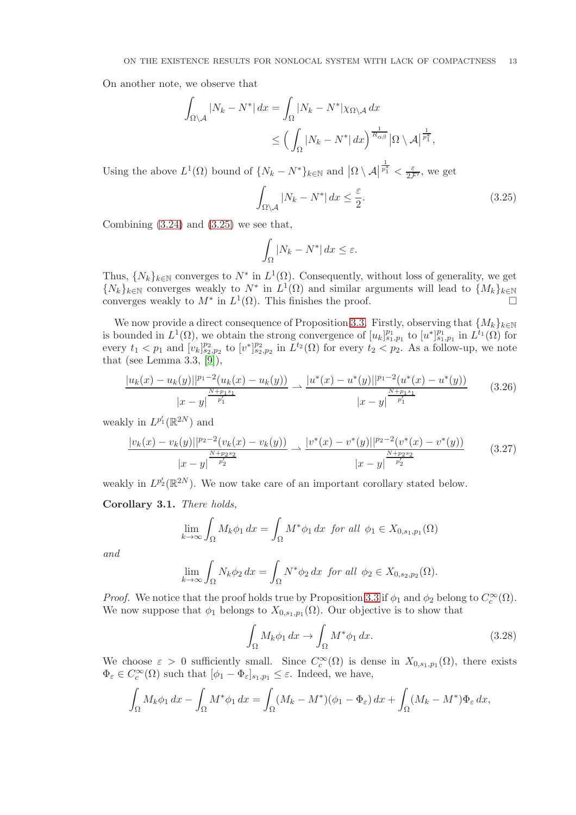On another note, we observe that

$$
\int_{\Omega \setminus \mathcal{A}} |N_k - N^*| dx = \int_{\Omega} |N_k - N^*| \chi_{\Omega \setminus \mathcal{A}} dx
$$
  

$$
\leq \left( \int_{\Omega} |N_k - N^*| dx \right)^{\frac{1}{R_{\alpha\beta}}} |\Omega \setminus \mathcal{A}|^{\frac{1}{p_1^*}},
$$

Using the above  $L^1(\Omega)$  bound of  $\{N_k - N^*\}_{k \in \mathbb{N}}$  and  $\big|\Omega \setminus \mathcal{A}\big|$  $\frac{1}{p_1^*} < \frac{\varepsilon}{2\mathcal{F}'},$  we get

<span id="page-12-0"></span>
$$
\int_{\Omega \setminus A} |N_k - N^*| \, dx \le \frac{\varepsilon}{2}.\tag{3.25}
$$

Combining  $(3.24)$  and  $(3.25)$  we see that,

$$
\int_{\Omega} |N_k - N^*| \, dx \le \varepsilon.
$$

Thus,  $\{N_k\}_{k\in\mathbb{N}}$  converges to  $N^*$  in  $L^1(\Omega)$ . Consequently, without loss of generality, we get  $\{N_k\}_{k\in\mathbb{N}}$  converges weakly to  $N^*$  in  $L^1(\Omega)$  and similar arguments will lead to  $\{M_k\}_{k\in\mathbb{N}}$ converges weakly to  $M^*$  in  $L^1(\Omega)$ . This finishes the proof.

We now provide a direct consequence of Proposition [3.3.](#page-11-1) Firstly, observing that  $\{M_k\}_{k\in\mathbb{N}}$ is bounded in  $L^1(\Omega)$ , we obtain the strong convergence of  $[u_k]_{s_1,p_1}^{p_1}$  to  $[u^*]_{s_1,p_1}^{p_1}$  in  $L^{t_1}(\Omega)$  for every  $t_1 < p_1$  and  $[v_k]_{s_2,p_2}^{p_2}$  to  $[v^*]_{s_2,p_2}^{p_2}$  in  $L^{t_2}(\Omega)$  for every  $t_2 < p_2$ . As a follow-up, we note that (see Lemma 3.3, [\[9\]](#page-15-14)),

<span id="page-12-2"></span>
$$
\frac{|u_k(x) - u_k(y)||^{p_1 - 2}(u_k(x) - u_k(y))|}{|x - y| \frac{\frac{N + p_1 s_1}{p'_1}}{p'_1}} \rightharpoonup \frac{|u^*(x) - u^*(y)||^{p_1 - 2}(u^*(x) - u^*(y))}{|x - y| \frac{\frac{N + p_1 s_1}{p'_1}}{p'_1}}
$$
(3.26)

weakly in  $L^{p'_1}(\mathbb{R}^{2N})$  and

<span id="page-12-3"></span>
$$
\frac{|v_k(x) - v_k(y)||^{p_2 - 2}(v_k(x) - v_k(y))|}{|x - y|^{-\frac{N + p_2 s_2}{p'_2}}}\n\to \frac{|v^*(x) - v^*(y)||^{p_2 - 2}(v^*(x) - v^*(y))}{|x - y|^{\frac{N + p_2 s_2}{p'_2}}}
$$
\n(3.27)

weakly in  $L^{p'_2}(\mathbb{R}^{2N})$ . We now take care of an important corollary stated below.

Corollary 3.1. There holds,

$$
\lim_{k \to \infty} \int_{\Omega} M_k \phi_1 dx = \int_{\Omega} M^* \phi_1 dx \text{ for all } \phi_1 \in X_{0,s_1,p_1}(\Omega)
$$

and

$$
\lim_{k \to \infty} \int_{\Omega} N_k \phi_2 dx = \int_{\Omega} N^* \phi_2 dx \text{ for all } \phi_2 \in X_{0,s_2,p_2}(\Omega).
$$

*Proof.* We notice that the proof holds true by Proposition [3.3](#page-11-1) if  $\phi_1$  and  $\phi_2$  belong to  $C_c^{\infty}(\Omega)$ . We now suppose that  $\phi_1$  belongs to  $X_{0,s_1,p_1}(\Omega)$ . Our objective is to show that

<span id="page-12-1"></span>
$$
\int_{\Omega} M_k \phi_1 \, dx \to \int_{\Omega} M^* \phi_1 \, dx. \tag{3.28}
$$

We choose  $\varepsilon > 0$  sufficiently small. Since  $C_c^{\infty}(\Omega)$  is dense in  $X_{0,s_1,p_1}(\Omega)$ , there exists  $\Phi_{\varepsilon} \in C_c^{\infty}(\Omega)$  such that  $[\phi_1 - \Phi_{\varepsilon}]_{s_1,p_1} \leq \varepsilon$ . Indeed, we have,

$$
\int_{\Omega} M_k \phi_1 dx - \int_{\Omega} M^* \phi_1 dx = \int_{\Omega} (M_k - M^*) (\phi_1 - \Phi_{\varepsilon}) dx + \int_{\Omega} (M_k - M^*) \Phi_{\varepsilon} dx,
$$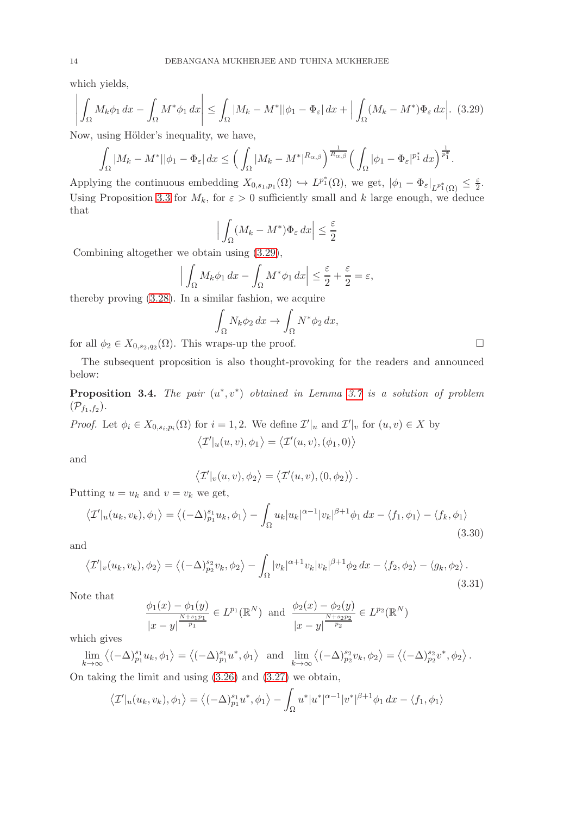which yields,

<span id="page-13-0"></span>
$$
\left| \int_{\Omega} M_k \phi_1 \, dx - \int_{\Omega} M^* \phi_1 \, dx \right| \le \int_{\Omega} |M_k - M^*| |\phi_1 - \Phi_{\varepsilon}| \, dx + \left| \int_{\Omega} (M_k - M^*) \Phi_{\varepsilon} \, dx \right|.
$$
 (3.29)

Now, using Hölder's inequality, we have,

$$
\int_{\Omega} |M_{k}-M^{*}||\phi_{1}-\Phi_{\varepsilon}|\,dx \leq \Big(\int_{\Omega} |M_{k}-M^{*}|^{R_{\alpha,\beta}}\Big)^{\frac{1}{R_{\alpha,\beta}}} \Big(\int_{\Omega} |\phi_{1}-\Phi_{\varepsilon}|^{p_{1}^{*}}\,dx\Big)^{\frac{1}{p_{1}^{*}}}.
$$

Applying the continuous embedding  $X_{0,s_1,p_1}(\Omega) \hookrightarrow L^{p_1^*}(\Omega)$ , we get,  $|\phi_1 - \Phi_{\varepsilon}|_{L^{p_1^*}(\Omega)} \leq \frac{\varepsilon}{2}$  $\frac{\varepsilon}{2}$ . Using Proposition [3.3](#page-11-1) for  $M_k$ , for  $\varepsilon > 0$  sufficiently small and k large enough, we deduce that

$$
\left| \int_{\Omega} (M_k - M^*) \Phi_{\varepsilon} \, dx \right| \le \frac{\varepsilon}{2}
$$

Combining altogether we obtain using [\(3.29\)](#page-13-0),

$$
\left| \int_{\Omega} M_k \phi_1 \, dx - \int_{\Omega} M^* \phi_1 \, dx \right| \le \frac{\varepsilon}{2} + \frac{\varepsilon}{2} = \varepsilon,
$$

thereby proving [\(3.28\)](#page-12-1). In a similar fashion, we acquire

$$
\int_{\Omega} N_k \phi_2 \, dx \to \int_{\Omega} N^* \phi_2 \, dx,
$$

for all  $\phi_2 \in X_{0,s_2,q_2}(\Omega)$ . This wraps-up the proof.

The subsequent proposition is also thought-provoking for the readers and announced below:

**Proposition 3.4.** The pair  $(u^*, v^*)$  obtained in Lemma [3.7](#page-8-2) is a solution of problem  $(\mathcal{P}_{f_1,f_2}).$ 

*Proof.* Let  $\phi_i \in X_{0,s_i,p_i}(\Omega)$  for  $i = 1,2$ . We define  $\mathcal{I}'|_u$  and  $\mathcal{I}'|_v$  for  $(u, v) \in X$  by  $\langle \mathcal{I}'|_u(u,v),\phi_1 \rangle = \langle \mathcal{I}'(u,v),(\phi_1,0) \rangle$ 

and

$$
\langle \mathcal{I}'|_v(u,v), \phi_2 \rangle = \langle \mathcal{I}'(u,v), (0, \phi_2) \rangle.
$$

Putting  $u = u_k$  and  $v = v_k$  we get,

$$
\langle \mathcal{I}'|_{u}(u_k, v_k), \phi_1 \rangle = \langle (-\Delta)^{s_1}_{p_1} u_k, \phi_1 \rangle - \int_{\Omega} u_k |u_k|^{\alpha - 1} |v_k|^{\beta + 1} \phi_1 dx - \langle f_1, \phi_1 \rangle - \langle f_k, \phi_1 \rangle
$$
\n(3.30)

and

$$
\langle \mathcal{I}'|_{v}(u_k, v_k), \phi_2 \rangle = \langle (-\Delta)^{s_2}_{p_2} v_k, \phi_2 \rangle - \int_{\Omega} |v_k|^{\alpha+1} v_k |v_k|^{\beta+1} \phi_2 \, dx - \langle f_2, \phi_2 \rangle - \langle g_k, \phi_2 \rangle. \tag{3.31}
$$

Note that

$$
\frac{\phi_1(x) - \phi_1(y)}{|x - y|^{N + s_1 p_1} \over p_1} \in L^{p_1}(\mathbb{R}^N) \text{ and } \frac{\phi_2(x) - \phi_2(y)}{|x - y|^{N + s_2 p_2} \over p_2} \in L^{p_2}(\mathbb{R}^N)
$$

which gives

 $\lim_{k \to \infty} \langle (-\Delta)^{s_1}_{p_1} u_k, \phi_1 \rangle = \langle (-\Delta)^{s_1}_{p_1} u^*, \phi_1 \rangle \text{ and } \lim_{k \to \infty} \langle (-\Delta)^{s_2}_{p_2} v_k, \phi_2 \rangle = \langle (-\Delta)^{s_2}_{p_2} v^*, \phi_2 \rangle.$ 

On taking the limit and using [\(3.26\)](#page-12-2) and [\(3.27\)](#page-12-3) we obtain,

$$
\langle \mathcal{I}'|_u(u_k, v_k), \phi_1 \rangle = \langle (-\Delta)^{s_1}_{p_1} u^*, \phi_1 \rangle - \int_{\Omega} u^* |u^*|^{\alpha - 1} |v^*|^{\beta + 1} \phi_1 dx - \langle f_1, \phi_1 \rangle
$$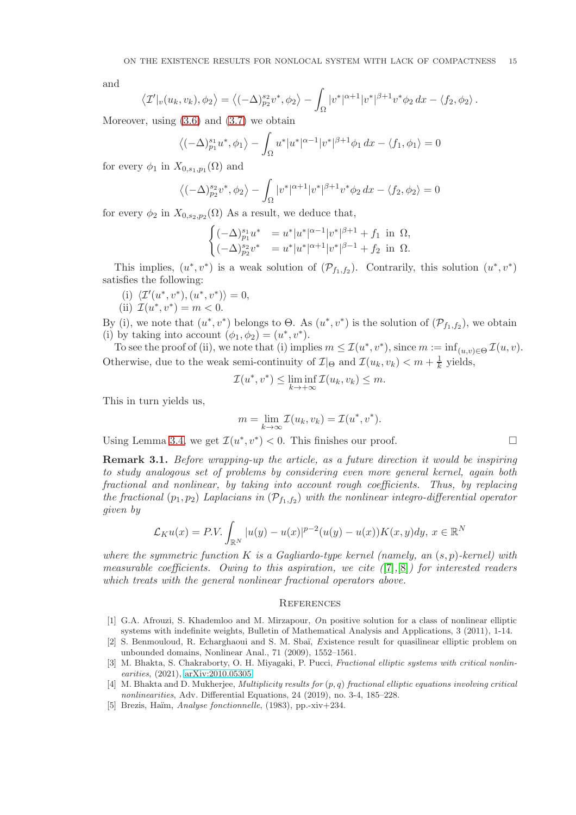and

$$
\langle \mathcal{I}'|_{v}(u_k, v_k), \phi_2 \rangle = \langle (-\Delta)^{s_2}_{p_2} v^*, \phi_2 \rangle - \int_{\Omega} |v^*|^{\alpha+1} |v^*|^{\beta+1} v^* \phi_2 dx - \langle f_2, \phi_2 \rangle.
$$

Moreover, using  $(3.6)$  and  $(3.7)$  we obtain

$$
\left\langle (-\Delta)_{p_1}^{s_1} u^*, \phi_1 \right\rangle - \int_{\Omega} u^* |u^*|^{\alpha - 1} |v^*|^{\beta + 1} \phi_1 \, dx - \left\langle f_1, \phi_1 \right\rangle = 0
$$

for every  $\phi_1$  in  $X_{0,s_1,p_1}(\Omega)$  and

$$
\left\langle \left( -\Delta \right)^{s_2}_{p_2} v^*, \phi_2 \right\rangle - \int_{\Omega} |v^*|^{\alpha+1} |v^*|^{\beta+1} v^* \phi_2 \, dx - \left\langle f_2, \phi_2 \right\rangle = 0
$$

for every  $\phi_2$  in  $X_{0,s_2,p_2}(\Omega)$  As a result, we deduce that,

$$
\begin{cases}\n(-\Delta)^{s_1}_{p_1} u^* &= u^* |u^*|^{\alpha-1} |v^*|^{\beta+1} + f_1 \text{ in } \Omega, \\
(-\Delta)^{s_2}_{p_2} v^* &= u^* |u^*|^{\alpha+1} |v^*|^{\beta-1} + f_2 \text{ in } \Omega.\n\end{cases}
$$

This implies,  $(u^*, v^*)$  is a weak solution of  $(\mathcal{P}_{f_1,f_2})$ . Contrarily, this solution  $(u^*, v^*)$ satisfies the following:

- (i)  $\langle \mathcal{I}'(u^*, v^*), (u^*, v^*) \rangle = 0,$
- (ii)  $\mathcal{I}(u^*, v^*) = m < 0.$

By (i), we note that  $(u^*, v^*)$  belongs to  $\Theta$ . As  $(u^*, v^*)$  is the solution of  $(\mathcal{P}_{f_1,f_2})$ , we obtain (i) by taking into account  $(\phi_1, \phi_2) = (u^*, v^*)$ .

To see the proof of (ii), we note that (i) implies  $m \leq \mathcal{I}(u^*, v^*)$ , since  $m := \inf_{(u,v) \in \Theta} \mathcal{I}(u, v)$ . Otherwise, due to the weak semi-continuity of  $\mathcal{I}|_{\Theta}$  and  $\mathcal{I}(u_k, v_k) < m + \frac{1}{k}$  yields,

$$
\mathcal{I}(u^*, v^*) \le \liminf_{k \to +\infty} \mathcal{I}(u_k, v_k) \le m.
$$

This in turn yields us,

$$
m = \lim_{k \to \infty} \mathcal{I}(u_k, v_k) = \mathcal{I}(u^*, v^*).
$$

Using Lemma [3.4,](#page-5-4) we get  $\mathcal{I}(u^*, v^*) < 0$ . This finishes our proof.

Remark 3.1. Before wrapping-up the article, as a future direction it would be inspiring to study analogous set of problems by considering even more general kernel, again both fractional and nonlinear, by taking into account rough coefficients. Thus, by replacing the fractional  $(p_1, p_2)$  Laplacians in  $(\mathcal{P}_{f_1, f_2})$  with the nonlinear integro-differential operator given by

$$
\mathcal{L}_K u(x) = P.V. \int_{\mathbb{R}^N} |u(y) - u(x)|^{p-2} (u(y) - u(x)) K(x, y) dy, x \in \mathbb{R}^N
$$

where the symmetric function K is a Gagliardo-type kernel (namely, an  $(s, p)$ -kernel) with measurable coefficients. Owing to this aspiration, we cite  $(7,8)$  for interested readers which treats with the general nonlinear fractional operators above.

### **REFERENCES**

- <span id="page-14-1"></span>[1] G.A. Afrouzi, S. Khademloo and M. Mirzapour, On positive solution for a class of nonlinear elliptic systems with indefinite weights, Bulletin of Mathematical Analysis and Applications, 3 (2011), 1-14.
- <span id="page-14-0"></span>[2] S. Benmouloud, R. Echarghaoui and S. M. Sbaï, Existence result for quasilinear elliptic problem on unbounded domains, Nonlinear Anal., 71 (2009), 1552–1561.
- <span id="page-14-2"></span>[3] M. Bhakta, S. Chakraborty, O. H. Miyagaki, P. Pucci, Fractional elliptic systems with critical nonlinearities, (2021), [arXiv:2010.05305](http://arxiv.org/abs/2010.05305)
- <span id="page-14-3"></span>[4] M. Bhakta and D. Mukherjee, *Multiplicity results for*  $(p, q)$  fractional elliptic equations involving critical nonlinearities, Adv. Differential Equations, 24 (2019), no. 3-4, 185–228.
- <span id="page-14-4"></span>[5] Brezis, Haïm, Analyse fonctionnelle,  $(1983)$ , pp.-xiv+234.